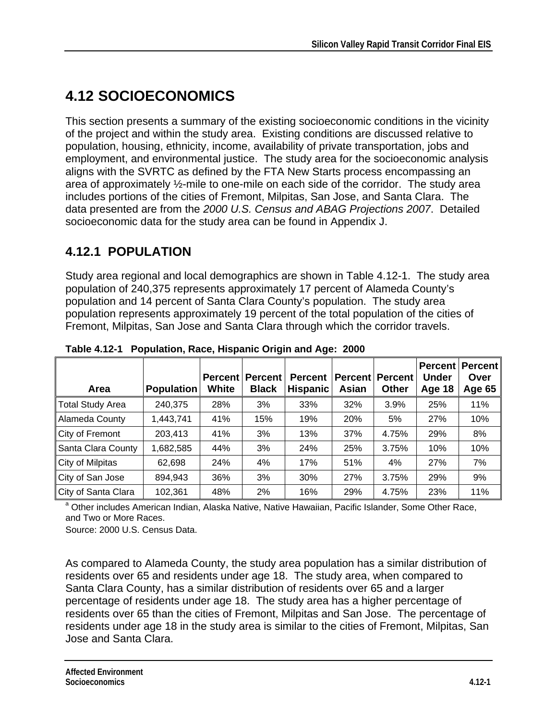# **4.12 SOCIOECONOMICS**

This section presents a summary of the existing socioeconomic conditions in the vicinity of the project and within the study area. Existing conditions are discussed relative to population, housing, ethnicity, income, availability of private transportation, jobs and employment, and environmental justice. The study area for the socioeconomic analysis aligns with the SVRTC as defined by the FTA New Starts process encompassing an area of approximately ½-mile to one-mile on each side of the corridor. The study area includes portions of the cities of Fremont, Milpitas, San Jose, and Santa Clara. The data presented are from the *2000 U.S. Census and ABAG Projections 2007*. Detailed socioeconomic data for the study area can be found in Appendix J.

## **4.12.1 POPULATION**

Study area regional and local demographics are shown in Table 4.12-1. The study area population of 240,375 represents approximately 17 percent of Alameda County's population and 14 percent of Santa Clara County's population. The study area population represents approximately 19 percent of the total population of the cities of Fremont, Milpitas, San Jose and Santa Clara through which the corridor travels.

| Area                    | <b>Population</b> | <b>Percent</b><br>White | <b>Percent</b><br><b>Black</b> | <b>Percent</b><br><b>Hispanic</b> | <b>Percent</b><br>Asian | <b>Percent</b><br><b>Other</b> | Percent<br>Under<br>Age 18 | <b>Percent</b><br>Over<br>Age 65 |
|-------------------------|-------------------|-------------------------|--------------------------------|-----------------------------------|-------------------------|--------------------------------|----------------------------|----------------------------------|
| <b>Total Study Area</b> | 240,375           | 28%                     | 3%                             | 33%                               | 32%                     | 3.9%                           | 25%                        | 11%                              |
| Alameda County          | 1,443,741         | 41%                     | 15%                            | 19%                               | 20%                     | 5%                             | 27%                        | 10%                              |
| City of Fremont         | 203,413           | 41%                     | 3%                             | 13%                               | 37%                     | 4.75%                          | 29%                        | 8%                               |
| Santa Clara County      | ,682,585          | 44%                     | 3%                             | 24%                               | 25%                     | 3.75%                          | 10%                        | 10%                              |
| City of Milpitas        | 62,698            | 24%                     | 4%                             | 17%                               | 51%                     | 4%                             | 27%                        | 7%                               |
| City of San Jose        | 894,943           | 36%                     | 3%                             | 30%                               | 27%                     | 3.75%                          | 29%                        | 9%                               |
| City of Santa Clara     | 102,361           | 48%                     | 2%                             | 16%                               | 29%                     | 4.75%                          | 23%                        | 11%                              |

**Table 4.12-1 Population, Race, Hispanic Origin and Age: 2000** 

<sup>a</sup> Other includes American Indian, Alaska Native, Native Hawaiian, Pacific Islander, Some Other Race, and Two or More Races.

Source: 2000 U.S. Census Data.

As compared to Alameda County, the study area population has a similar distribution of residents over 65 and residents under age 18. The study area, when compared to Santa Clara County, has a similar distribution of residents over 65 and a larger percentage of residents under age 18. The study area has a higher percentage of residents over 65 than the cities of Fremont, Milpitas and San Jose. The percentage of residents under age 18 in the study area is similar to the cities of Fremont, Milpitas, San Jose and Santa Clara.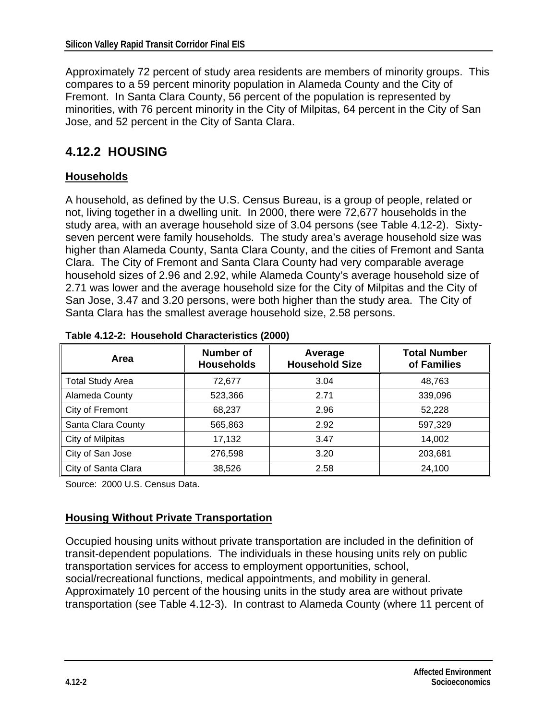Approximately 72 percent of study area residents are members of minority groups. This compares to a 59 percent minority population in Alameda County and the City of Fremont. In Santa Clara County, 56 percent of the population is represented by minorities, with 76 percent minority in the City of Milpitas, 64 percent in the City of San Jose, and 52 percent in the City of Santa Clara.

## **4.12.2 HOUSING**

#### **Households**

A household, as defined by the U.S. Census Bureau, is a group of people, related or not, living together in a dwelling unit. In 2000, there were 72,677 households in the study area, with an average household size of 3.04 persons (see Table 4.12-2). Sixtyseven percent were family households. The study area's average household size was higher than Alameda County, Santa Clara County, and the cities of Fremont and Santa Clara. The City of Fremont and Santa Clara County had very comparable average household sizes of 2.96 and 2.92, while Alameda County's average household size of 2.71 was lower and the average household size for the City of Milpitas and the City of San Jose, 3.47 and 3.20 persons, were both higher than the study area. The City of Santa Clara has the smallest average household size, 2.58 persons.

| Area                    | <b>Number of</b><br><b>Households</b> | Average<br><b>Household Size</b> | <b>Total Number</b><br>of Families |
|-------------------------|---------------------------------------|----------------------------------|------------------------------------|
| <b>Total Study Area</b> | 72,677                                | 3.04                             | 48,763                             |
| Alameda County          | 523,366                               | 2.71                             | 339,096                            |
| City of Fremont         | 68,237                                | 2.96                             | 52,228                             |
| Santa Clara County      | 565,863                               | 2.92                             | 597,329                            |
| City of Milpitas        | 17,132                                | 3.47                             | 14,002                             |
| City of San Jose        | 276,598                               | 3.20                             | 203,681                            |
| City of Santa Clara     | 38,526                                | 2.58                             | 24,100                             |

**Table 4.12-2: Household Characteristics (2000)** 

Source: 2000 U.S. Census Data.

#### **Housing Without Private Transportation**

Occupied housing units without private transportation are included in the definition of transit-dependent populations. The individuals in these housing units rely on public transportation services for access to employment opportunities, school, social/recreational functions, medical appointments, and mobility in general. Approximately 10 percent of the housing units in the study area are without private transportation (see Table 4.12-3). In contrast to Alameda County (where 11 percent of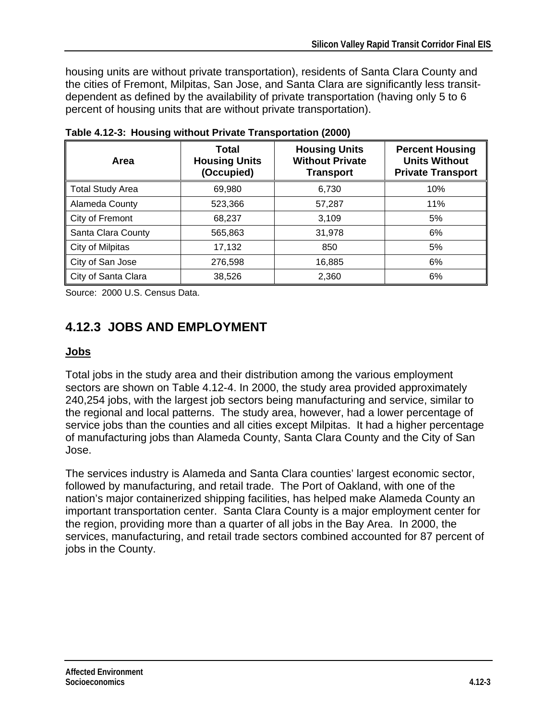housing units are without private transportation), residents of Santa Clara County and the cities of Fremont, Milpitas, San Jose, and Santa Clara are significantly less transitdependent as defined by the availability of private transportation (having only 5 to 6 percent of housing units that are without private transportation).

| Area                    | Total<br><b>Housing Units</b><br>(Occupied) | <b>Housing Units</b><br><b>Without Private</b><br><b>Transport</b> | <b>Percent Housing</b><br><b>Units Without</b><br><b>Private Transport</b> |  |  |
|-------------------------|---------------------------------------------|--------------------------------------------------------------------|----------------------------------------------------------------------------|--|--|
| <b>Total Study Area</b> | 69,980                                      | 6,730                                                              | 10%                                                                        |  |  |
| Alameda County          | 523,366                                     | 57,287                                                             | 11%                                                                        |  |  |
| City of Fremont         | 68,237                                      | 3,109                                                              | 5%                                                                         |  |  |
| Santa Clara County      | 565,863                                     | 31,978                                                             | 6%                                                                         |  |  |
| City of Milpitas        | 17,132                                      | 850                                                                | 5%                                                                         |  |  |
| City of San Jose        | 276,598                                     | 16,885                                                             | 6%                                                                         |  |  |
| City of Santa Clara     | 38,526                                      | 2,360                                                              | 6%                                                                         |  |  |

**Table 4.12-3: Housing without Private Transportation (2000)** 

Source: 2000 U.S. Census Data.

## **4.12.3 JOBS AND EMPLOYMENT**

#### **Jobs**

Total jobs in the study area and their distribution among the various employment sectors are shown on Table 4.12-4. In 2000, the study area provided approximately 240,254 jobs, with the largest job sectors being manufacturing and service, similar to the regional and local patterns. The study area, however, had a lower percentage of service jobs than the counties and all cities except Milpitas. It had a higher percentage of manufacturing jobs than Alameda County, Santa Clara County and the City of San Jose.

The services industry is Alameda and Santa Clara counties' largest economic sector, followed by manufacturing, and retail trade. The Port of Oakland, with one of the nation's major containerized shipping facilities, has helped make Alameda County an important transportation center. Santa Clara County is a major employment center for the region, providing more than a quarter of all jobs in the Bay Area. In 2000, the services, manufacturing, and retail trade sectors combined accounted for 87 percent of jobs in the County.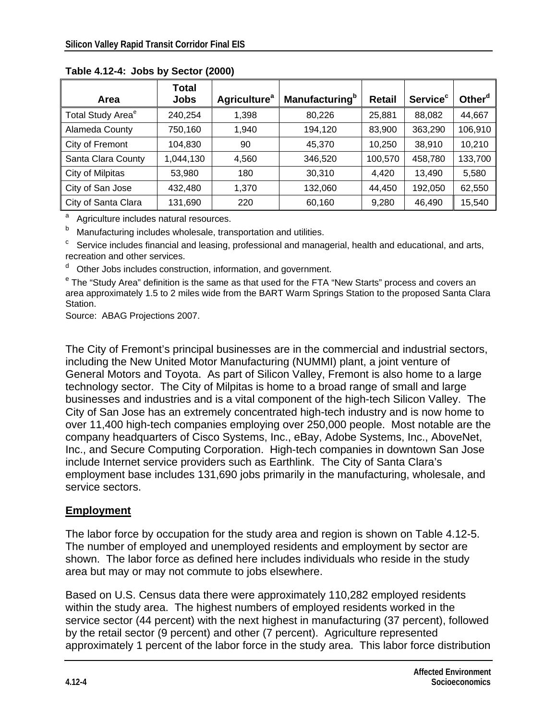|                               | Total       |                                |                                   |               |                            |                    |
|-------------------------------|-------------|--------------------------------|-----------------------------------|---------------|----------------------------|--------------------|
| Area                          | <b>Jobs</b> | <b>Agriculture<sup>a</sup></b> | <b>Manufacturing</b> <sup>b</sup> | <b>Retail</b> | <b>Service<sup>c</sup></b> | Other <sup>d</sup> |
| Total Study Area <sup>e</sup> | 240,254     | 1,398                          | 80,226                            | 25,881        | 88,082                     | 44,667             |
| Alameda County                | 750,160     | 1,940                          | 194,120                           | 83,900        | 363,290                    | 106,910            |
| City of Fremont               | 104,830     | 90                             | 45,370                            | 10,250        | 38,910                     | 10,210             |
| Santa Clara County            | 1,044,130   | 4,560                          | 346,520                           | 100,570       | 458,780                    | 133,700            |
| City of Milpitas              | 53,980      | 180                            | 30,310                            | 4,420         | 13,490                     | 5,580              |
| City of San Jose              | 432,480     | 1,370                          | 132,060                           | 44,450        | 192,050                    | 62,550             |
| City of Santa Clara           | 131,690     | 220                            | 60,160                            | 9,280         | 46,490                     | 15,540             |

**Table 4.12-4: Jobs by Sector (2000)** 

<sup>a</sup> Agriculture includes natural resources.

b

Manufacturing includes wholesale, transportation and utilities.<br>Service includes financial and leasing, professional and managerial, health and educational, and arts, recreation and other services.

d Other Jobs includes construction, information, and government.

<sup>e</sup> The "Study Area" definition is the same as that used for the FTA "New Starts" process and covers an area approximately 1.5 to 2 miles wide from the BART Warm Springs Station to the proposed Santa Clara Station.

Source: ABAG Projections 2007.

The City of Fremont's principal businesses are in the commercial and industrial sectors, including the New United Motor Manufacturing (NUMMI) plant, a joint venture of General Motors and Toyota. As part of Silicon Valley, Fremont is also home to a large technology sector. The City of Milpitas is home to a broad range of small and large businesses and industries and is a vital component of the high-tech Silicon Valley. The City of San Jose has an extremely concentrated high-tech industry and is now home to over 11,400 high-tech companies employing over 250,000 people. Most notable are the company headquarters of Cisco Systems, Inc., eBay, Adobe Systems, Inc., AboveNet, Inc., and Secure Computing Corporation. High-tech companies in downtown San Jose include Internet service providers such as Earthlink. The City of Santa Clara's employment base includes 131,690 jobs primarily in the manufacturing, wholesale, and service sectors.

#### **Employment**

The labor force by occupation for the study area and region is shown on Table 4.12-5. The number of employed and unemployed residents and employment by sector are shown. The labor force as defined here includes individuals who reside in the study area but may or may not commute to jobs elsewhere.

Based on U.S. Census data there were approximately 110,282 employed residents within the study area. The highest numbers of employed residents worked in the service sector (44 percent) with the next highest in manufacturing (37 percent), followed by the retail sector (9 percent) and other (7 percent). Agriculture represented approximately 1 percent of the labor force in the study area. This labor force distribution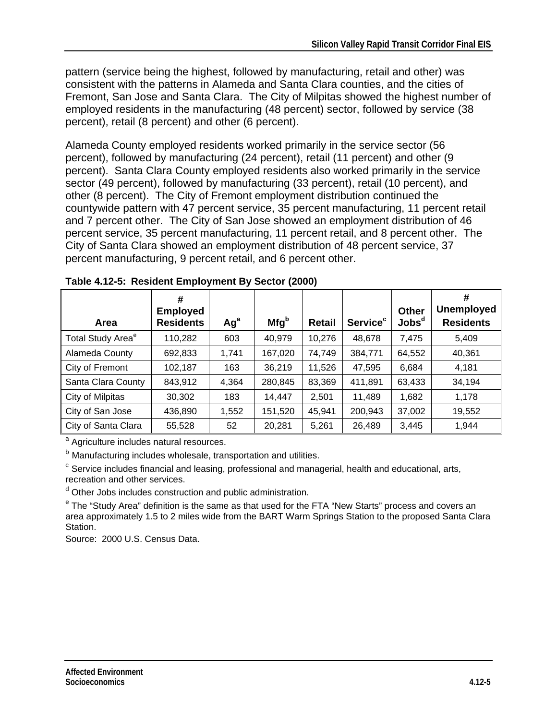pattern (service being the highest, followed by manufacturing, retail and other) was consistent with the patterns in Alameda and Santa Clara counties, and the cities of Fremont, San Jose and Santa Clara. The City of Milpitas showed the highest number of employed residents in the manufacturing (48 percent) sector, followed by service (38 percent), retail (8 percent) and other (6 percent).

Alameda County employed residents worked primarily in the service sector (56 percent), followed by manufacturing (24 percent), retail (11 percent) and other (9 percent). Santa Clara County employed residents also worked primarily in the service sector (49 percent), followed by manufacturing (33 percent), retail (10 percent), and other (8 percent). The City of Fremont employment distribution continued the countywide pattern with 47 percent service, 35 percent manufacturing, 11 percent retail and 7 percent other. The City of San Jose showed an employment distribution of 46 percent service, 35 percent manufacturing, 11 percent retail, and 8 percent other. The City of Santa Clara showed an employment distribution of 48 percent service, 37 percent manufacturing, 9 percent retail, and 6 percent other.

| Area                          | #<br><b>Employed</b><br><b>Residents</b> | Ag <sup>a</sup> | Mfg <sup>b</sup> | Retail | <b>Service<sup>c</sup></b> | <b>Other</b><br>$\mathsf{Jobs}^{\mathsf{d}}$ | #<br><b>Unemployed</b><br><b>Residents</b> |
|-------------------------------|------------------------------------------|-----------------|------------------|--------|----------------------------|----------------------------------------------|--------------------------------------------|
| Total Study Area <sup>e</sup> | 110,282                                  | 603             | 40,979           | 10,276 | 48,678                     | 7,475                                        | 5,409                                      |
| Alameda County                | 692,833                                  | 1,741           | 167,020          | 74,749 | 384,771                    | 64,552                                       | 40,361                                     |
| City of Fremont               | 102,187                                  | 163             | 36,219           | 11,526 | 47,595                     | 6,684                                        | 4,181                                      |
| Santa Clara County            | 843,912                                  | 4,364           | 280,845          | 83,369 | 411,891                    | 63,433                                       | 34,194                                     |
| City of Milpitas              | 30,302                                   | 183             | 14,447           | 2,501  | 11,489                     | 1,682                                        | 1,178                                      |
| City of San Jose              | 436,890                                  | 1,552           | 151,520          | 45,941 | 200,943                    | 37,002                                       | 19,552                                     |
| City of Santa Clara           | 55,528                                   | 52              | 20,281           | 5,261  | 26,489                     | 3,445                                        | 1,944                                      |

<sup>a</sup> Agriculture includes natural resources.

<sup>b</sup> Manufacturing includes wholesale, transportation and utilities.<br><sup>c</sup> Service includes financial and leasing, professional and managerial, health and educational, arts, recreation and other services.

<sup>d</sup> Other Jobs includes construction and public administration.

<sup>e</sup> The "Study Area" definition is the same as that used for the FTA "New Starts" process and covers an area approximately 1.5 to 2 miles wide from the BART Warm Springs Station to the proposed Santa Clara Station.

Source: 2000 U.S. Census Data.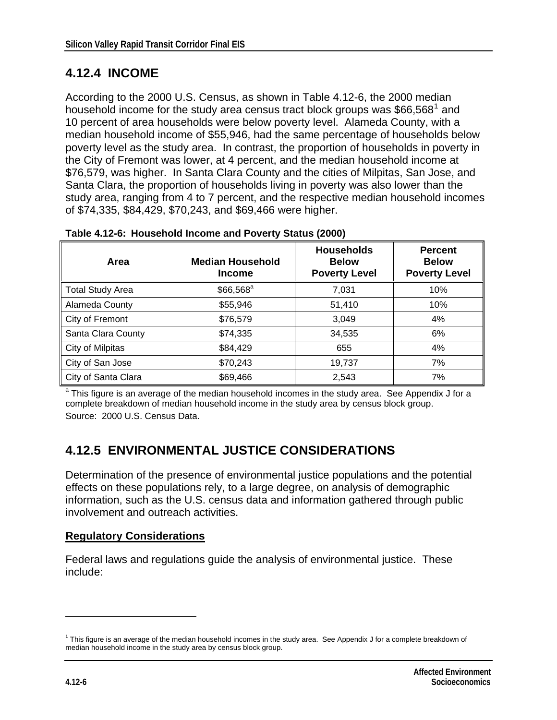### <span id="page-5-0"></span>**4.12.4 INCOME**

According to the 2000 U.S. Census, as shown in Table 4.12-6, the 2000 median household income for the study area census tract block groups was \$66,568<sup>[1](#page-5-0)</sup> and 10 percent of area households were below poverty level. Alameda County, with a median household income of \$55,946, had the same percentage of households below poverty level as the study area. In contrast, the proportion of households in poverty in the City of Fremont was lower, at 4 percent, and the median household income at \$76,579, was higher. In Santa Clara County and the cities of Milpitas, San Jose, and Santa Clara, the proportion of households living in poverty was also lower than the study area, ranging from 4 to 7 percent, and the respective median household incomes of \$74,335, \$84,429, \$70,243, and \$69,466 were higher.

| Area                    | <b>Median Household</b><br><b>Income</b> | <b>Households</b><br><b>Below</b><br><b>Poverty Level</b> | <b>Percent</b><br><b>Below</b><br><b>Poverty Level</b> |
|-------------------------|------------------------------------------|-----------------------------------------------------------|--------------------------------------------------------|
| <b>Total Study Area</b> | $$66,568^a$                              | 7,031                                                     | 10%                                                    |
| Alameda County          | \$55,946                                 | 51,410                                                    | 10%                                                    |
| City of Fremont         | \$76,579                                 | 3,049                                                     | 4%                                                     |
| Santa Clara County      | \$74,335                                 | 34,535                                                    | 6%                                                     |
| City of Milpitas        | \$84,429                                 | 655                                                       | 4%                                                     |
| City of San Jose        | \$70,243                                 | 19,737                                                    | 7%                                                     |
| City of Santa Clara     | \$69,466                                 | 2,543                                                     | 7%                                                     |

**Table 4.12-6: Household Income and Poverty Status (2000)** 

<sup>a</sup> This figure is an average of the median household incomes in the study area. See Appendix J for a complete breakdown of median household income in the study area by census block group. Source: 2000 U.S. Census Data.

## **4.12.5 ENVIRONMENTAL JUSTICE CONSIDERATIONS**

Determination of the presence of environmental justice populations and the potential effects on these populations rely, to a large degree, on analysis of demographic information, such as the U.S. census data and information gathered through public involvement and outreach activities.

#### **Regulatory Considerations**

Federal laws and regulations guide the analysis of environmental justice. These include:

 $\overline{a}$ 

 $1$  This figure is an average of the median household incomes in the study area. See Appendix J for a complete breakdown of median household income in the study area by census block group.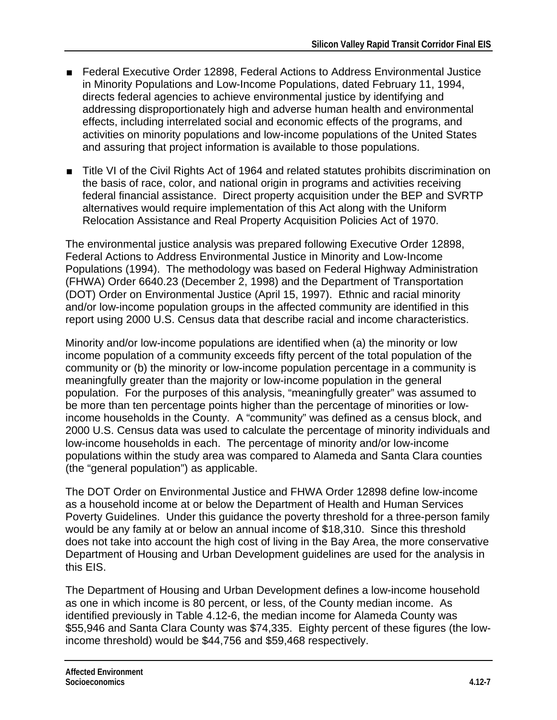- Federal Executive Order 12898, Federal Actions to Address Environmental Justice in Minority Populations and Low-Income Populations, dated February 11, 1994, directs federal agencies to achieve environmental justice by identifying and addressing disproportionately high and adverse human health and environmental effects, including interrelated social and economic effects of the programs, and activities on minority populations and low-income populations of the United States and assuring that project information is available to those populations.
- Title VI of the Civil Rights Act of 1964 and related statutes prohibits discrimination on the basis of race, color, and national origin in programs and activities receiving federal financial assistance. Direct property acquisition under the BEP and SVRTP alternatives would require implementation of this Act along with the Uniform Relocation Assistance and Real Property Acquisition Policies Act of 1970.

The environmental justice analysis was prepared following Executive Order 12898, Federal Actions to Address Environmental Justice in Minority and Low-Income Populations (1994). The methodology was based on Federal Highway Administration (FHWA) Order 6640.23 (December 2, 1998) and the Department of Transportation (DOT) Order on Environmental Justice (April 15, 1997). Ethnic and racial minority and/or low-income population groups in the affected community are identified in this report using 2000 U.S. Census data that describe racial and income characteristics.

Minority and/or low-income populations are identified when (a) the minority or low income population of a community exceeds fifty percent of the total population of the community or (b) the minority or low-income population percentage in a community is meaningfully greater than the majority or low-income population in the general population. For the purposes of this analysis, "meaningfully greater" was assumed to be more than ten percentage points higher than the percentage of minorities or lowincome households in the County. A "community" was defined as a census block, and 2000 U.S. Census data was used to calculate the percentage of minority individuals and low-income households in each. The percentage of minority and/or low-income populations within the study area was compared to Alameda and Santa Clara counties (the "general population") as applicable.

The DOT Order on Environmental Justice and FHWA Order 12898 define low-income as a household income at or below the Department of Health and Human Services Poverty Guidelines. Under this guidance the poverty threshold for a three-person family would be any family at or below an annual income of \$18,310. Since this threshold does not take into account the high cost of living in the Bay Area, the more conservative Department of Housing and Urban Development guidelines are used for the analysis in this EIS.

The Department of Housing and Urban Development defines a low-income household as one in which income is 80 percent, or less, of the County median income. As identified previously in Table 4.12-6, the median income for Alameda County was \$55,946 and Santa Clara County was \$74,335. Eighty percent of these figures (the lowincome threshold) would be \$44,756 and \$59,468 respectively.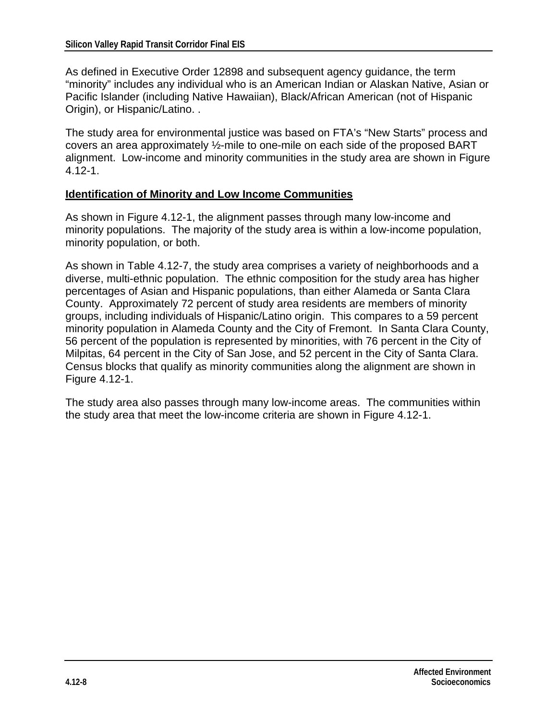As defined in Executive Order 12898 and subsequent agency guidance, the term "minority" includes any individual who is an American Indian or Alaskan Native, Asian or Pacific Islander (including Native Hawaiian), Black/African American (not of Hispanic Origin), or Hispanic/Latino. .

The study area for environmental justice was based on FTA's "New Starts" process and covers an area approximately ½-mile to one-mile on each side of the proposed BART alignment. Low-income and minority communities in the study area are shown in Figure 4.12-1.

#### **Identification of Minority and Low Income Communities**

As shown in Figure 4.12-1, the alignment passes through many low-income and minority populations. The majority of the study area is within a low-income population, minority population, or both.

As shown in Table 4.12-7, the study area comprises a variety of neighborhoods and a diverse, multi-ethnic population. The ethnic composition for the study area has higher percentages of Asian and Hispanic populations, than either Alameda or Santa Clara County. Approximately 72 percent of study area residents are members of minority groups, including individuals of Hispanic/Latino origin. This compares to a 59 percent minority population in Alameda County and the City of Fremont. In Santa Clara County, 56 percent of the population is represented by minorities, with 76 percent in the City of Milpitas, 64 percent in the City of San Jose, and 52 percent in the City of Santa Clara. Census blocks that qualify as minority communities along the alignment are shown in Figure 4.12-1.

The study area also passes through many low-income areas. The communities within the study area that meet the low-income criteria are shown in Figure 4.12-1.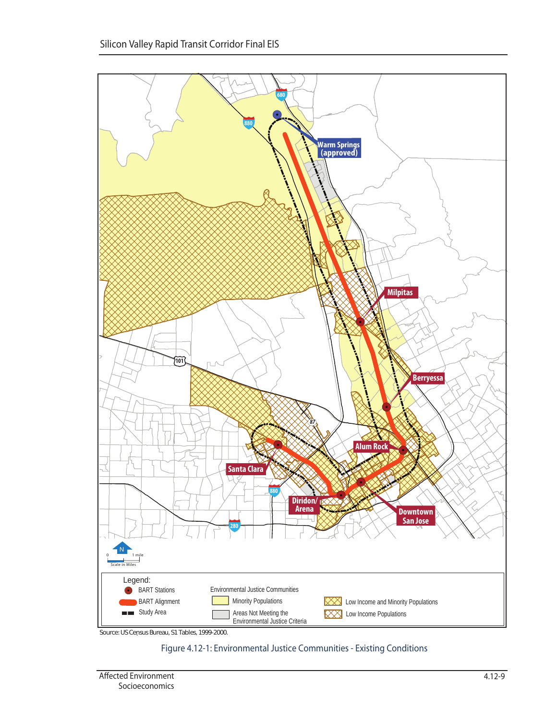

Source: US Census Bureau, S1 Tables, 1999-2000. .

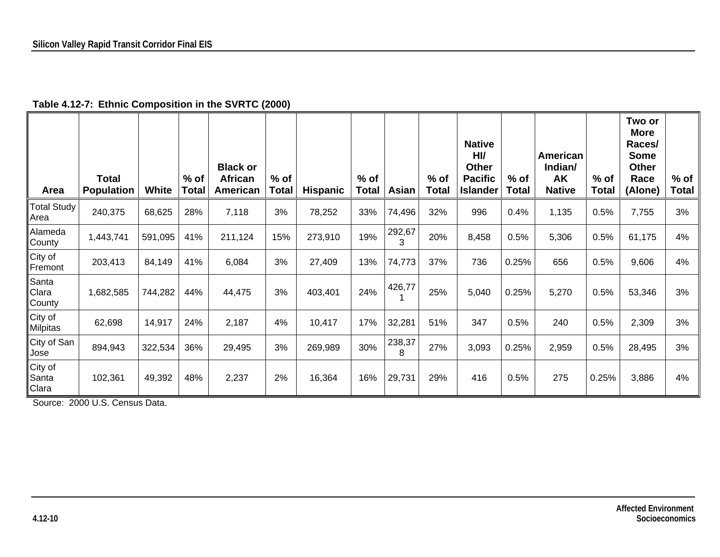| Area                       | <b>Total</b><br><b>Population</b> | <b>White</b> | $%$ of<br>Total | <b>Black or</b><br><b>African</b><br>American | $%$ of<br><b>Total</b> | <b>Hispanic</b> | $%$ of<br><b>Total</b> | Asian       | $%$ of<br><b>Total</b> | <b>Native</b><br>H <sub>U</sub><br><b>Other</b><br><b>Pacific</b><br><b>Islander</b> | $%$ of<br>Total | American<br>Indian/<br><b>AK</b><br><b>Native</b> | $%$ of<br><b>Total</b> | Two or<br><b>More</b><br>Races/<br><b>Some</b><br><b>Other</b><br>Race<br>(Alone) | $%$ of<br><b>Total</b> |
|----------------------------|-----------------------------------|--------------|-----------------|-----------------------------------------------|------------------------|-----------------|------------------------|-------------|------------------------|--------------------------------------------------------------------------------------|-----------------|---------------------------------------------------|------------------------|-----------------------------------------------------------------------------------|------------------------|
| <b>Total Study</b><br>Area | 240,375                           | 68,625       | 28%             | 7,118                                         | 3%                     | 78,252          | 33%                    | 74,496      | 32%                    | 996                                                                                  | 0.4%            | 1,135                                             | 0.5%                   | 7,755                                                                             | 3%                     |
| Alameda<br>County          | 1,443,741                         | 591,095      | 41%             | 211,124                                       | 15%                    | 273,910         | 19%                    | 292,67<br>3 | 20%                    | 8,458                                                                                | 0.5%            | 5,306                                             | 0.5%                   | 61,175                                                                            | 4%                     |
| City of<br>Fremont         | 203,413                           | 84,149       | 41%             | 6,084                                         | 3%                     | 27,409          | 13%                    | 74,773      | 37%                    | 736                                                                                  | 0.25%           | 656                                               | 0.5%                   | 9,606                                                                             | 4%                     |
| Santa<br>Clara<br>County   | 1,682,585                         | 744,282      | 44%             | 44,475                                        | 3%                     | 403,401         | 24%                    | 426,77      | 25%                    | 5,040                                                                                | 0.25%           | 5,270                                             | 0.5%                   | 53,346                                                                            | 3%                     |
| City of<br><b>Milpitas</b> | 62,698                            | 14,917       | 24%             | 2,187                                         | 4%                     | 10,417          | 17%                    | 32,281      | 51%                    | 347                                                                                  | 0.5%            | 240                                               | 0.5%                   | 2,309                                                                             | 3%                     |
| City of San<br>Jose        | 894,943                           | 322,534      | 36%             | 29,495                                        | 3%                     | 269,989         | 30%                    | 238,37<br>8 | 27%                    | 3,093                                                                                | 0.25%           | 2,959                                             | 0.5%                   | 28,495                                                                            | 3%                     |
| City of<br>Santa<br>Clara  | 102,361                           | 49,392       | 48%             | 2,237                                         | 2%                     | 16,364          | 16%                    | 29,731      | 29%                    | 416                                                                                  | 0.5%            | 275                                               | 0.25%                  | 3,886                                                                             | 4%                     |

**Table 4.12-7: Ethnic Composition in the SVRTC (2000)** 

Source: 2000 U.S. Census Data.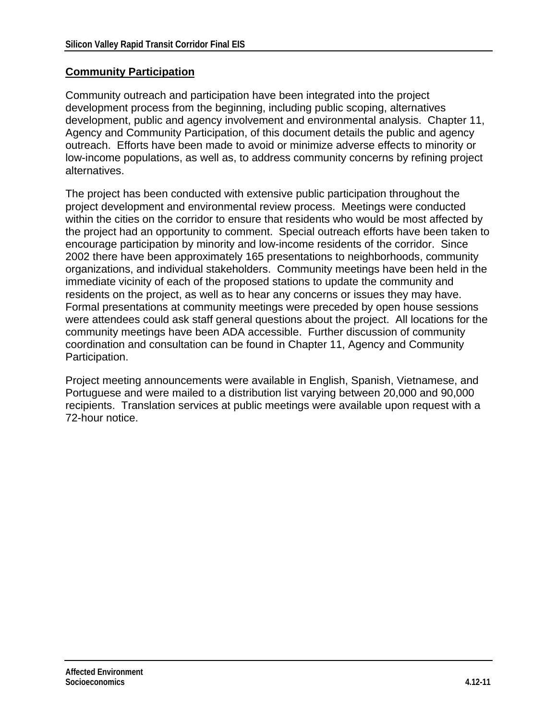#### **Community Participation**

Community outreach and participation have been integrated into the project development process from the beginning, including public scoping, alternatives development, public and agency involvement and environmental analysis. Chapter 11, Agency and Community Participation, of this document details the public and agency outreach. Efforts have been made to avoid or minimize adverse effects to minority or low-income populations, as well as, to address community concerns by refining project alternatives.

The project has been conducted with extensive public participation throughout the project development and environmental review process. Meetings were conducted within the cities on the corridor to ensure that residents who would be most affected by the project had an opportunity to comment. Special outreach efforts have been taken to encourage participation by minority and low-income residents of the corridor. Since 2002 there have been approximately 165 presentations to neighborhoods, community organizations, and individual stakeholders. Community meetings have been held in the immediate vicinity of each of the proposed stations to update the community and residents on the project, as well as to hear any concerns or issues they may have. Formal presentations at community meetings were preceded by open house sessions were attendees could ask staff general questions about the project. All locations for the community meetings have been ADA accessible. Further discussion of community coordination and consultation can be found in Chapter 11, Agency and Community Participation.

Project meeting announcements were available in English, Spanish, Vietnamese, and Portuguese and were mailed to a distribution list varying between 20,000 and 90,000 recipients. Translation services at public meetings were available upon request with a 72-hour notice.